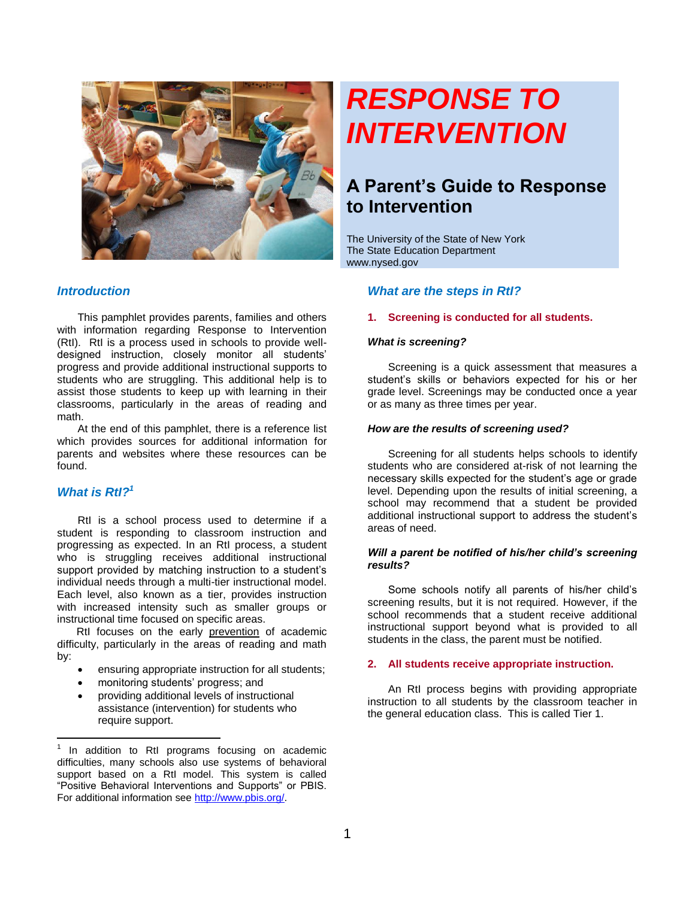

# *RESPONSE TO INTERVENTION*

# **A Parent's Guide to Response to Intervention**

The University of the State of New York The State Education Department www.nysed.gov

# *Introduction*

This pamphlet provides parents, families and others with information regarding Response to Intervention (RtI). RtI is a process used in schools to provide welldesigned instruction, closely monitor all students' progress and provide additional instructional supports to students who are struggling. This additional help is to assist those students to keep up with learning in their classrooms, particularly in the areas of reading and math.

At the end of this pamphlet, there is a reference list which provides sources for additional information for parents and websites where these resources can be found.

# *What is RtI?<sup>1</sup>*

 $\overline{a}$ 

RtI is a school process used to determine if a student is responding to classroom instruction and progressing as expected. In an RtI process, a student who is struggling receives additional instructional support provided by matching instruction to a student's individual needs through a multi-tier instructional model. Each level, also known as a tier, provides instruction with increased intensity such as smaller groups or instructional time focused on specific areas.

RtI focuses on the early prevention of academic difficulty, particularly in the areas of reading and math by:

- ensuring appropriate instruction for all students;
- monitoring students' progress; and
- providing additional levels of instructional assistance (intervention) for students who require support.

# *What are the steps in RtI?*

#### **1. Screening is conducted for all students.**

#### *What is screening?*

Screening is a quick assessment that measures a student's skills or behaviors expected for his or her grade level. Screenings may be conducted once a year or as many as three times per year.

#### *How are the results of screening used?*

Screening for all students helps schools to identify students who are considered at-risk of not learning the necessary skills expected for the student's age or grade level. Depending upon the results of initial screening, a school may recommend that a student be provided additional instructional support to address the student's areas of need.

#### *Will a parent be notified of his/her child's screening results?*

Some schools notify all parents of his/her child's screening results, but it is not required. However, if the school recommends that a student receive additional instructional support beyond what is provided to all students in the class, the parent must be notified.

## **2. All students receive appropriate instruction.**

An RtI process begins with providing appropriate instruction to all students by the classroom teacher in the general education class. This is called Tier 1.

<sup>1</sup> In addition to RtI programs focusing on academic difficulties, many schools also use systems of behavioral support based on a RtI model. This system is called "Positive Behavioral Interventions and Supports" or PBIS. For additional information see [http://www.pbis.org/.](http://www.pbis.org/)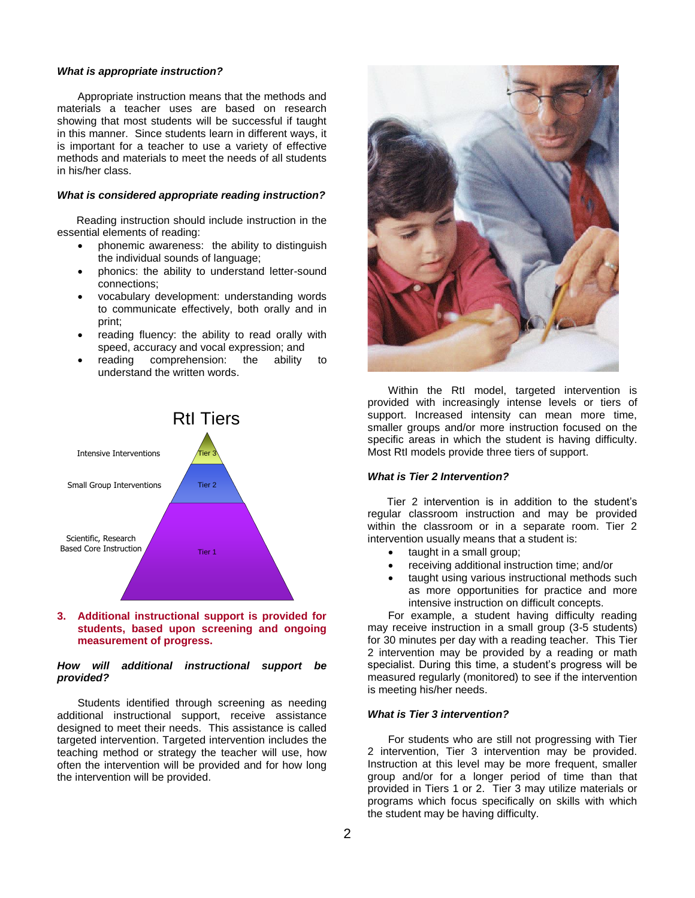#### *What is appropriate instruction?*

Appropriate instruction means that the methods and materials a teacher uses are based on research showing that most students will be successful if taught in this manner. Since students learn in different ways, it is important for a teacher to use a variety of effective methods and materials to meet the needs of all students in his/her class.

#### *What is considered appropriate reading instruction?*

Reading instruction should include instruction in the essential elements of reading:

- phonemic awareness: the ability to distinguish the individual sounds of language;
- phonics: the ability to understand letter-sound connections;
- vocabulary development: understanding words to communicate effectively, both orally and in print;
- reading fluency: the ability to read orally with speed, accuracy and vocal expression; and
- reading comprehension: the ability to understand the written words.



#### **3. Additional instructional support is provided for students, based upon screening and ongoing measurement of progress.**

## *How will additional instructional support be provided?*

Students identified through screening as needing additional instructional support, receive assistance designed to meet their needs. This assistance is called targeted intervention. Targeted intervention includes the teaching method or strategy the teacher will use, how often the intervention will be provided and for how long the intervention will be provided.



Within the RtI model, targeted intervention is provided with increasingly intense levels or tiers of support. Increased intensity can mean more time, smaller groups and/or more instruction focused on the specific areas in which the student is having difficulty. Most RtI models provide three tiers of support.

#### *What is Tier 2 Intervention?*

Tier 2 intervention is in addition to the student's regular classroom instruction and may be provided within the classroom or in a separate room. Tier 2 intervention usually means that a student is:

- taught in a small group;
- receiving additional instruction time; and/or
- taught using various instructional methods such as more opportunities for practice and more intensive instruction on difficult concepts.

For example, a student having difficulty reading may receive instruction in a small group (3-5 students) for 30 minutes per day with a reading teacher. This Tier 2 intervention may be provided by a reading or math specialist. During this time, a student's progress will be measured regularly (monitored) to see if the intervention is meeting his/her needs.

#### *What is Tier 3 intervention?*

For students who are still not progressing with Tier 2 intervention, Tier 3 intervention may be provided. Instruction at this level may be more frequent, smaller group and/or for a longer period of time than that provided in Tiers 1 or 2. Tier 3 may utilize materials or programs which focus specifically on skills with which the student may be having difficulty.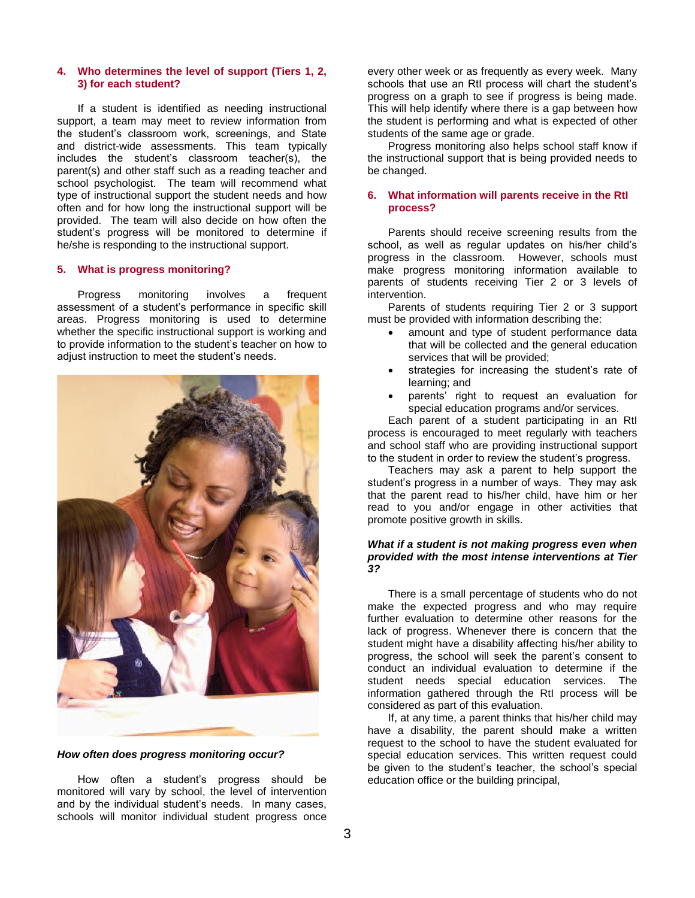#### **4. Who determines the level of support (Tiers 1, 2, 3) for each student?**

If a student is identified as needing instructional support, a team may meet to review information from the student's classroom work, screenings, and State and district-wide assessments. This team typically includes the student's classroom teacher(s), the parent(s) and other staff such as a reading teacher and school psychologist. The team will recommend what type of instructional support the student needs and how often and for how long the instructional support will be provided. The team will also decide on how often the student's progress will be monitored to determine if he/she is responding to the instructional support.

#### **5. What is progress monitoring?**

Progress monitoring involves a frequent assessment of a student's performance in specific skill areas. Progress monitoring is used to determine whether the specific instructional support is working and to provide information to the student's teacher on how to adjust instruction to meet the student's needs.



*How often does progress monitoring occur?*

How often a student's progress should be monitored will vary by school, the level of intervention and by the individual student's needs. In many cases, schools will monitor individual student progress once every other week or as frequently as every week. Many schools that use an RtI process will chart the student's progress on a graph to see if progress is being made. This will help identify where there is a gap between how the student is performing and what is expected of other students of the same age or grade.

Progress monitoring also helps school staff know if the instructional support that is being provided needs to be changed.

#### **6. What information will parents receive in the RtI process?**

Parents should receive screening results from the school, as well as regular updates on his/her child's progress in the classroom. However, schools must make progress monitoring information available to parents of students receiving Tier 2 or 3 levels of intervention.

Parents of students requiring Tier 2 or 3 support must be provided with information describing the:

- amount and type of student performance data that will be collected and the general education services that will be provided;
- strategies for increasing the student's rate of learning; and
- parents' right to request an evaluation for special education programs and/or services.

Each parent of a student participating in an RtI process is encouraged to meet regularly with teachers and school staff who are providing instructional support to the student in order to review the student's progress.

Teachers may ask a parent to help support the student's progress in a number of ways. They may ask that the parent read to his/her child, have him or her read to you and/or engage in other activities that promote positive growth in skills.

#### *What if a student is not making progress even when provided with the most intense interventions at Tier 3?*

There is a small percentage of students who do not make the expected progress and who may require further evaluation to determine other reasons for the lack of progress. Whenever there is concern that the student might have a disability affecting his/her ability to progress, the school will seek the parent's consent to conduct an individual evaluation to determine if the student needs special education services. The information gathered through the RtI process will be considered as part of this evaluation.

If, at any time, a parent thinks that his/her child may have a disability, the parent should make a written request to the school to have the student evaluated for special education services. This written request could be given to the student's teacher, the school's special education office or the building principal,